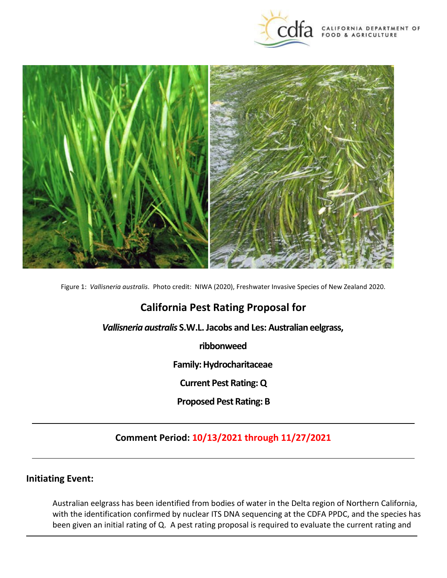



Figure 1: *Vallisneria australis*. Photo credit: NIWA (2020), Freshwater Invasive Species of New Zealand 2020.

# **California Pest Rating Proposal for**

*Vallisneria australis* **S.W.L. Jacobs and Les: Australian eelgrass,** 

**ribbonweed** 

**Family: Hydrocharitaceae** 

**Current Pest Rating: Q** 

 **Proposed Pest Rating: B** 

## **Comment Period: 10/13/2021 through 11/27/2021**

### **Initiating Event:**

 been given an initial rating of Q. A pest rating proposal is required to evaluate the current rating and Australian eelgrass has been identified from bodies of water in the Delta region of Northern California, with the identification confirmed by nuclear ITS DNA sequencing at the CDFA PPDC, and the species has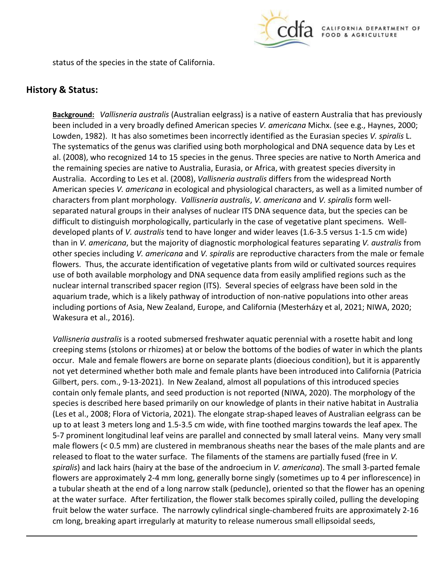

status of the species in the state of California.

#### **History & Status:**

 **Background:** *Vallisneria australis* (Australian eelgrass) is a native of eastern Australia that has previously been included in a very broadly defined American species *V. americana* Michx. (see e.g., Haynes, 2000; Lowden, 1982). It has also sometimes been incorrectly identified as the Eurasian species *V. spiralis* L. The systematics of the genus was clarified using both morphological and DNA sequence data by Les et the remaining species are native to Australia, Eurasia, or Africa, with greatest species diversity in Australia. According to Les et al. (2008), *Vallisneria australis* differs from the widespread North American species *V. americana* in ecological and physiological characters, as well as a limited number of characters from plant morphology. *Vallisneria australis*, *V. americana* and *V. spiralis* form well- developed plants of *V. australis* tend to have longer and wider leaves (1.6-3.5 versus 1-1.5 cm wide) use of both available morphology and DNA sequence data from easily amplified regions such as the nuclear internal transcribed spacer region (ITS). Several species of eelgrass have been sold in the aquarium trade, which is a likely pathway of introduction of non-native populations into other areas Wakesura et al., 2016). al. (2008), who recognized 14 to 15 species in the genus. Three species are native to North America and separated natural groups in their analyses of nuclear ITS DNA sequence data, but the species can be difficult to distinguish morphologically, particularly in the case of vegetative plant specimens. Wellthan in *V. americana*, but the majority of diagnostic morphological features separating *V. australis* from other species including *V. americana* and *V. spiralis* are reproductive characters from the male or female flowers. Thus, the accurate identification of vegetative plants from wild or cultivated sources requires including portions of Asia, New Zealand, Europe, and California (Mesterházy et al, 2021; NIWA, 2020;

 *Vallisneria australis* is a rooted submersed freshwater aquatic perennial with a rosette habit and long creeping stems (stolons or rhizomes) at or below the bottoms of the bodies of water in which the plants not yet determined whether both male and female plants have been introduced into California (Patricia (Les et al., 2008; Flora of Victoria, 2021). The elongate strap-shaped leaves of Australian eelgrass can be up to at least 3 meters long and 1.5-3.5 cm wide, with fine toothed margins towards the leaf apex. The male flowers (< 0.5 mm) are clustered in membranous sheaths near the bases of the male plants and are released to float to the water surface. The filaments of the stamens are partially fused (free in *V. spiralis*) and lack hairs (hairy at the base of the androecium in *V. americana*). The small 3-parted female a tubular sheath at the end of a long narrow stalk (peduncle), oriented so that the flower has an opening at the water surface. After fertilization, the flower stalk becomes spirally coiled, pulling the developing cm long, breaking apart irregularly at maturity to release numerous small ellipsoidal seeds, occur. Male and female flowers are borne on separate plants (dioecious condition), but it is apparently Gilbert, pers. com., 9-13-2021). In New Zealand, almost all populations of this introduced species contain only female plants, and seed production is not reported (NIWA, 2020). The morphology of the species is described here based primarily on our knowledge of plants in their native habitat in Australia 5-7 prominent longitudinal leaf veins are parallel and connected by small lateral veins. Many very small flowers are approximately 2-4 mm long, generally borne singly (sometimes up to 4 per inflorescence) in fruit below the water surface. The narrowly cylindrical single-chambered fruits are approximately 2-16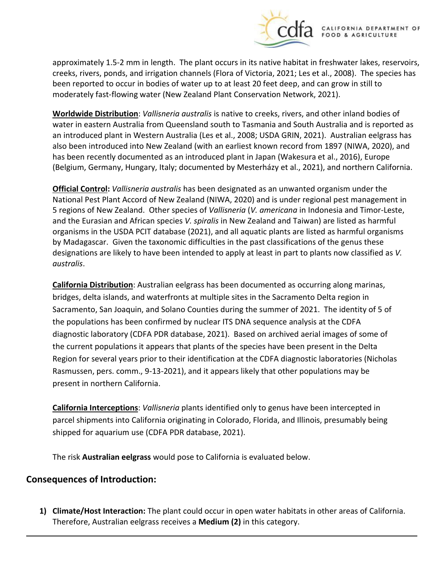

**CALIFORNIA DEPARTMENT OF** FOOD & AGRICULTURE

 creeks, rivers, ponds, and irrigation channels (Flora of Victoria, 2021; Les et al., 2008). The species has been reported to occur in bodies of water up to at least 20 feet deep, and can grow in still to moderately fast-flowing water (New Zealand Plant Conservation Network, 2021). approximately 1.5-2 mm in length. The plant occurs in its native habitat in freshwater lakes, reservoirs,

 **Worldwide Distribution**: *Vallisneria australis* is native to creeks, rivers, and other inland bodies of an introduced plant in Western Australia (Les et al., 2008; USDA GRIN, 2021). Australian eelgrass has has been recently documented as an introduced plant in Japan (Wakesura et al., 2016), Europe water in eastern Australia from Queensland south to Tasmania and South Australia and is reported as also been introduced into New Zealand (with an earliest known record from 1897 (NIWA, 2020), and (Belgium, Germany, Hungary, Italy; documented by Mesterházy et al., 2021), and northern California.

 5 regions of New Zealand. Other species of *Vallisneria* (*V. americana* in Indonesia and Timor-Leste, and the Eurasian and African species *V. spiralis* in New Zealand and Taiwan) are listed as harmful by Madagascar. Given the taxonomic difficulties in the past classifications of the genus these **Official Control:** *Vallisneria australis* has been designated as an unwanted organism under the National Pest Plant Accord of New Zealand (NIWA, 2020) and is under regional pest management in organisms in the USDA PCIT database (2021), and all aquatic plants are listed as harmful organisms designations are likely to have been intended to apply at least in part to plants now classified as *V. australis*.

 **California Distribution**: Australian eelgrass has been documented as occurring along marinas, the populations has been confirmed by nuclear ITS DNA sequence analysis at the CDFA diagnostic laboratory (CDFA PDR database, 2021). Based on archived aerial images of some of the current populations it appears that plants of the species have been present in the Delta Region for several years prior to their identification at the CDFA diagnostic laboratories (Nicholas bridges, delta islands, and waterfronts at multiple sites in the Sacramento Delta region in Sacramento, San Joaquin, and Solano Counties during the summer of 2021. The identity of 5 of Rasmussen, pers. comm., 9-13-2021), and it appears likely that other populations may be present in northern California.

 shipped for aquarium use (CDFA PDR database, 2021). **California Interceptions**: *Vallisneria* plants identified only to genus have been intercepted in parcel shipments into California originating in Colorado, Florida, and Illinois, presumably being

The risk **Australian eelgrass** would pose to California is evaluated below.

### **Consequences of Introduction:**

 **1) Climate/Host Interaction:** The plant could occur in open water habitats in other areas of California. Therefore, Australian eelgrass receives a **Medium (2)** in this category.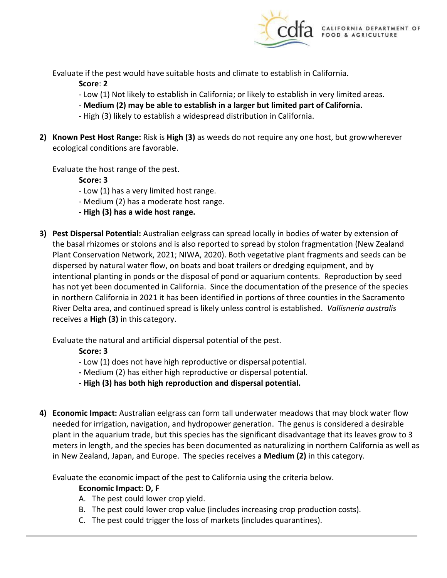

Evaluate if the pest would have suitable hosts and climate to establish in California.

**Score**: **2** 

- Low (1) Not likely to establish in California; or likely to establish in very limited areas.
- **Medium (2) may be able to establish in a larger but limited part of California.**
- High (3) likely to establish a widespread distribution in California.
- ecological conditions are favorable. **2) Known Pest Host Range:** Risk is **High (3)** as weeds do not require any one host, but growwherever

Evaluate the host range of the pest.

**Score: 3** 

- Low (1) has a very limited host range.
- Medium (2) has a moderate host range.
- **- High (3) has a wide host range.**
- the basal rhizomes or stolons and is also reported to spread by stolon fragmentation (New Zealand intentional planting in ponds or the disposal of pond or aquarium contents. Reproduction by seed in northern California in 2021 it has been identified in portions of three counties in the Sacramento River Delta area, and continued spread is likely unless control is established. *Vallisneria australis*  receives a **High (3)** in this category. **3) Pest Dispersal Potential:** Australian eelgrass can spread locally in bodies of water by extension of Plant Conservation Network, 2021; NIWA, 2020). Both vegetative plant fragments and seeds can be dispersed by natural water flow, on boats and boat trailers or dredging equipment, and by has not yet been documented in California. Since the documentation of the presence of the species

Evaluate the natural and artificial dispersal potential of the pest.

**Score: 3** 

- Low (1) does not have high reproductive or dispersal potential.
- **-** Medium (2) has either high reproductive or dispersal potential.
- **- High (3) has both high reproduction and dispersal potential.**
- needed for irrigation, navigation, and hydropower generation. The genus is considered a desirable plant in the aquarium trade, but this species has the significant disadvantage that its leaves grow to 3 meters in length, and the species has been documented as naturalizing in northern California as well as in New Zealand, Japan, and Europe. The species receives a **Medium (2)** in this category. **4) Economic Impact:** Australian eelgrass can form tall underwater meadows that may block water flow

Evaluate the economic impact of the pest to California using the criteria below.

### **Economic Impact: D, F**

- A. The pest could lower crop yield.
- B. The pest could lower crop value (includes increasing crop production costs).
- C. The pest could trigger the loss of markets (includes quarantines).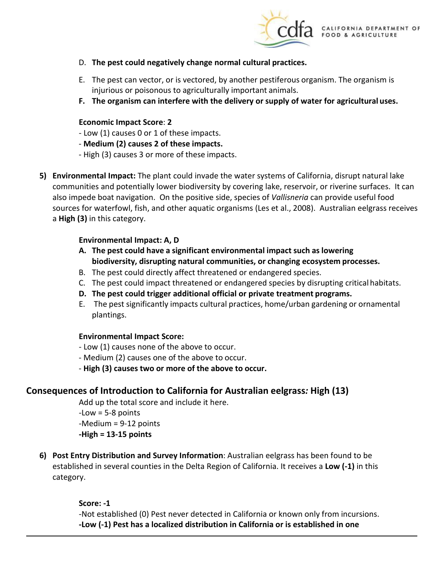

- D. **The pest could negatively change normal cultural practices.**
- E. The pest can vector, or is vectored, by another pestiferous organism. The organism is injurious or poisonous to agriculturally important animals.
- **F. The organism can interfere with the delivery or supply of water for agricultural uses.**

#### **Economic Impact Score**: **2**

- Low (1) causes 0 or 1 of these impacts.
- **Medium (2) causes 2 of these impacts.**
- High (3) causes 3 or more of these impacts.
- also impede boat navigation. On the positive side, species of *Vallisneria* can provide useful food sources for waterfowl, fish, and other aquatic organisms (Les et al., 2008). Australian eelgrass receives a **High (3)** in this category. **5) Environmental Impact:** The plant could invade the water systems of California, disrupt natural lake communities and potentially lower biodiversity by covering lake, reservoir, or riverine surfaces. It can

### **Environmental Impact: A, D**

- **A. The pest could have a significant environmental impact such as lowering biodiversity, disrupting natural communities, or changing ecosystem processes.**
- B. The pest could directly affect threatened or endangered species.
- C. The pest could impact threatened or endangered species by disrupting critical habitats.
- **D. The pest could trigger additional official or private treatment programs.**
- E. The pest significantly impacts cultural practices, home/urban gardening or ornamental plantings.

#### **Environmental Impact Score:**

- Low (1) causes none of the above to occur.
- Medium (2) causes one of the above to occur.
- **High (3) causes two or more of the above to occur.**

## **Consequences of Introduction to California for Australian eelgrass***:* **High (13)**

Add up the total score and include it here.

-Low = 5-8 points -Medium = 9-12 points **-High = 13-15 points** 

**6) Post Entry Distribution and Survey Information**: Australian eelgrass has been found to be established in several counties in the Delta Region of California. It receives a **Low (-1)** in this category.

#### **Score: -1**

-Not established (0) Pest never detected in California or known only from incursions. **-Low (-1) Pest has a localized distribution in California or is established in one**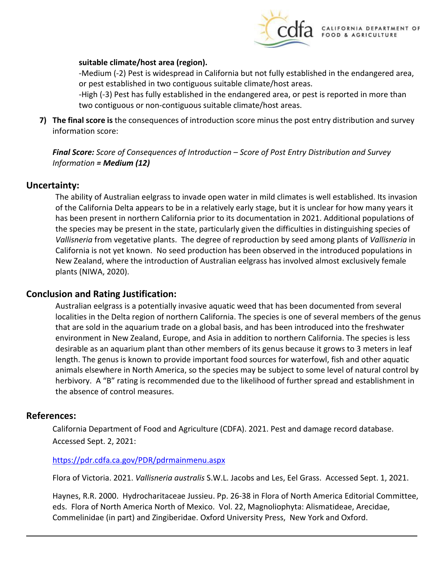

#### **suitable climate/host area (region).**

-Medium (-2) Pest is widespread in California but not fully established in the endangered area, or pest established in two contiguous suitable climate/host areas.

 -High (-3) Pest has fully established in the endangered area, or pest is reported in more than two contiguous or non-contiguous suitable climate/host areas.

 **7) The final score is** the consequences of introduction score minus the post entry distribution and survey information score:

 *Information = Medium (12) Final Score: Score of Consequences of Introduction – Score of Post Entry Distribution and Survey* 

#### **Uncertainty:**

 has been present in northern California prior to its documentation in 2021. Additional populations of the species may be present in the state, particularly given the difficulties in distinguishing species of *Vallisneria* from vegetative plants. The degree of reproduction by seed among plants of *Vallisneria* in California is not yet known. No seed production has been observed in the introduced populations in The ability of Australian eelgrass to invade open water in mild climates is well established. Its invasion of the California Delta appears to be in a relatively early stage, but it is unclear for how many years it New Zealand, where the introduction of Australian eelgrass has involved almost exclusively female plants (NIWA, 2020).

#### **Conclusion and Rating Justification:**

 Australian eelgrass is a potentially invasive aquatic weed that has been documented from several that are sold in the aquarium trade on a global basis, and has been introduced into the freshwater animals elsewhere in North America, so the species may be subject to some level of natural control by herbivory. A "B" rating is recommended due to the likelihood of further spread and establishment in localities in the Delta region of northern California. The species is one of several members of the genus environment in New Zealand, Europe, and Asia in addition to northern California. The species is less desirable as an aquarium plant than other members of its genus because it grows to 3 meters in leaf length. The genus is known to provide important food sources for waterfowl, fish and other aquatic the absence of control measures.

#### **References:**

California Department of Food and Agriculture (CDFA). 2021. Pest and damage record database. Accessed Sept. 2, 2021:

#### <https://pdr.cdfa.ca.gov/PDR/pdrmainmenu.aspx>

Flora of Victoria. 2021. *Vallisneria australis* S.W.L. Jacobs and Les, Eel Grass. Accessed Sept. 1, 2021.

 eds. Flora of North America North of Mexico. Vol. 22, Magnoliophyta: Alismatideae, Arecidae, Commelinidae (in part) and Zingiberidae. Oxford University Press, New York and Oxford. Haynes, R.R. 2000. Hydrocharitaceae Jussieu. Pp. 26-38 in Flora of North America Editorial Committee,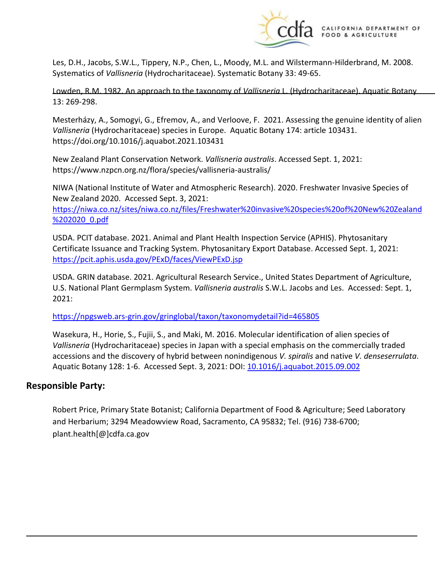

 Les, D.H., Jacobs, S.W.L., Tippery, N.P., Chen, L., Moody, M.L. and Wilstermann-Hilderbrand, M. 2008. Systematics of *Vallisneria* (Hydrocharitaceae). Systematic Botany 33: 49-65.

Lowden, R.M. 1982. An approach to the taxonomy of *Vallisneria* L. (Hydrocharitaceae). Aquatic Botany 13: 269-298.

 Mesterházy, A., Somogyi, G., Efremov, A., and Verloove, F. 2021. Assessing the genuine identity of alien *Vallisneria* (Hydrocharitaceae) species in Europe. Aquatic Botany 174: article 103431. <https://doi.org/10.1016/j.aquabot.2021.103431>

New Zealand Plant Conservation Network. *Vallisneria australis*. Accessed Sept. 1, 2021: <https://www.nzpcn.org.nz/flora/species/vallisneria-australis>/

 NIWA (National Institute of Water and Atmospheric Research). 2020. Freshwater Invasive Species of New Zealand 2020. Accessed Sept. 3, 2021:

%202020 0.pdf [https://niwa.co.nz/sites/niwa.co.nz/files/Freshwater%20invasive%20species%20of%20New%20Zealand](https://niwa.co.nz/sites/niwa.co.nz/files/Freshwater%20invasive%20species%20of%20New%20Zealand%202020_0.pdf) 

https://pcit.aphis.usda.gov/PExD/faces/ViewPExD.jsp USDA. PCIT database. 2021. Animal and Plant Health Inspection Service (APHIS). Phytosanitary Certificate Issuance and Tracking System. Phytosanitary Export Database. Accessed Sept. 1, 2021:

 U.S. National Plant Germplasm System. *Vallisneria australis* S.W.L. Jacobs and Les. Accessed: Sept. 1, USDA. GRIN database. 2021. Agricultural Research Service., United States Department of Agriculture, 2021:

<https://npgsweb.ars-grin.gov/gringlobal/taxon/taxonomydetail?id=465805>

 *Vallisneria* (Hydrocharitaceae) species in Japan with a special emphasis on the commercially traded Aquatic Botany 128: 1-6. Accessed Sept. 3, 2021: DOI: 10.1016/j.aquabot.2015.09.002 Wasekura, H., Horie, S., Fujii, S., and Maki, M. 2016. Molecular identification of alien species of accessions and the discovery of hybrid between nonindigenous *V. spiralis* and native *V. denseserrulata*.

#### **Responsible Party:**

Robert Price, Primary State Botanist; California Department of Food & Agriculture; Seed Laboratory and Herbarium; 3294 Meadowview Road, Sacramento, CA 95832; Tel. (916) 738-6700; [plant.health\[@\]cdfa.ca.gov](https://plant.health[@]cdfa.ca.gov)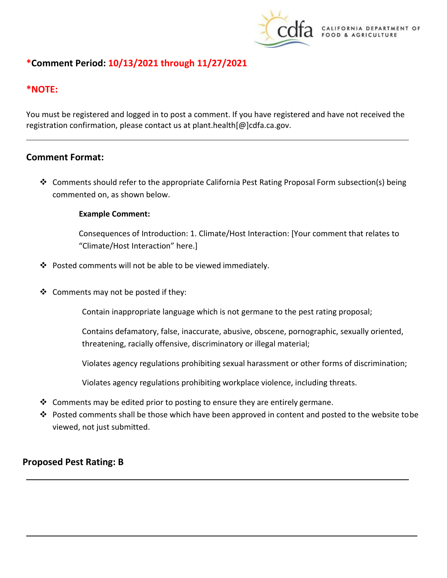

## **\*Comment Period: 10/13/2021 through 11/27/2021**

### **\*NOTE:**

 registration confirmation, please contact us at [plant.health\[@\]cdfa.ca.gov](https://plant.health[@]cdfa.ca.gov). You must be registered and logged in to post a comment. If you have registered and have not received the

### **Comment Format:**

 Comments should refer to the appropriate California Pest Rating Proposal Form subsection(s) being commented on, as shown below.

#### **Example Comment:**

Consequences of Introduction: 1. Climate/Host Interaction: [Your comment that relates to "Climate/Host Interaction" here.]

- Posted comments will not be able to be viewed immediately.
- ❖ Comments may not be posted if they:

Contain inappropriate language which is not germane to the pest rating proposal;

Contains defamatory, false, inaccurate, abusive, obscene, pornographic, sexually oriented, threatening, racially offensive, discriminatory or illegal material;

Violates agency regulations prohibiting sexual harassment or other forms of discrimination;

Violates agency regulations prohibiting workplace violence, including threats.

- $\clubsuit$  Comments may be edited prior to posting to ensure they are entirely germane.
- ◆ Posted comments shall be those which have been approved in content and posted to the website tobe viewed, not just submitted.

### **Proposed Pest Rating: B**